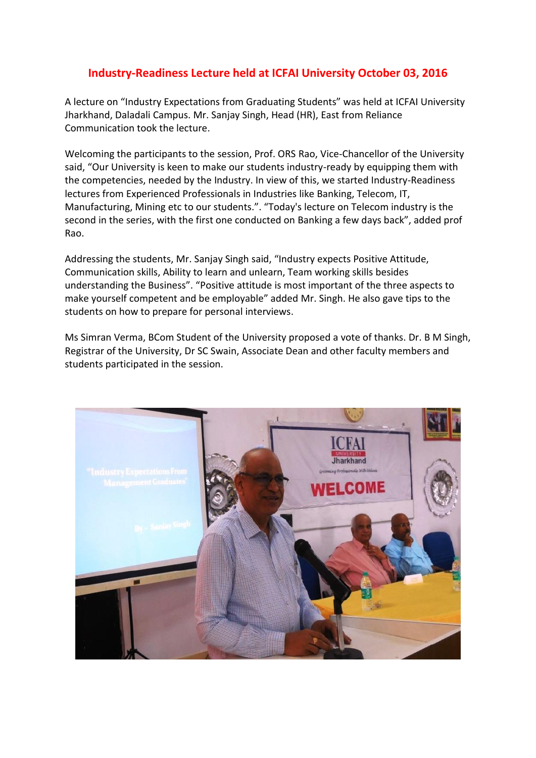## **Industry-Readiness Lecture held at ICFAI University October 03, 2016**

A lecture on "Industry Expectations from Graduating Students" was held at ICFAI University Jharkhand, Daladali Campus. Mr. Sanjay Singh, Head (HR), East from Reliance Communication took the lecture.

Welcoming the participants to the session, Prof. ORS Rao, Vice-Chancellor of the University said, "Our University is keen to make our students industry-ready by equipping them with the competencies, needed by the Industry. In view of this, we started Industry-Readiness lectures from Experienced Professionals in Industries like Banking, Telecom, IT, Manufacturing, Mining etc to our students.". "Today's lecture on Telecom industry is the second in the series, with the first one conducted on Banking a few days back", added prof Rao.

Addressing the students, Mr. Sanjay Singh said, "Industry expects Positive Attitude, Communication skills, Ability to learn and unlearn, Team working skills besides understanding the Business". "Positive attitude is most important of the three aspects to make yourself competent and be employable" added Mr. Singh. He also gave tips to the students on how to prepare for personal interviews.

Ms Simran Verma, BCom Student of the University proposed a vote of thanks. Dr. B M Singh, Registrar of the University, Dr SC Swain, Associate Dean and other faculty members and students participated in the session.